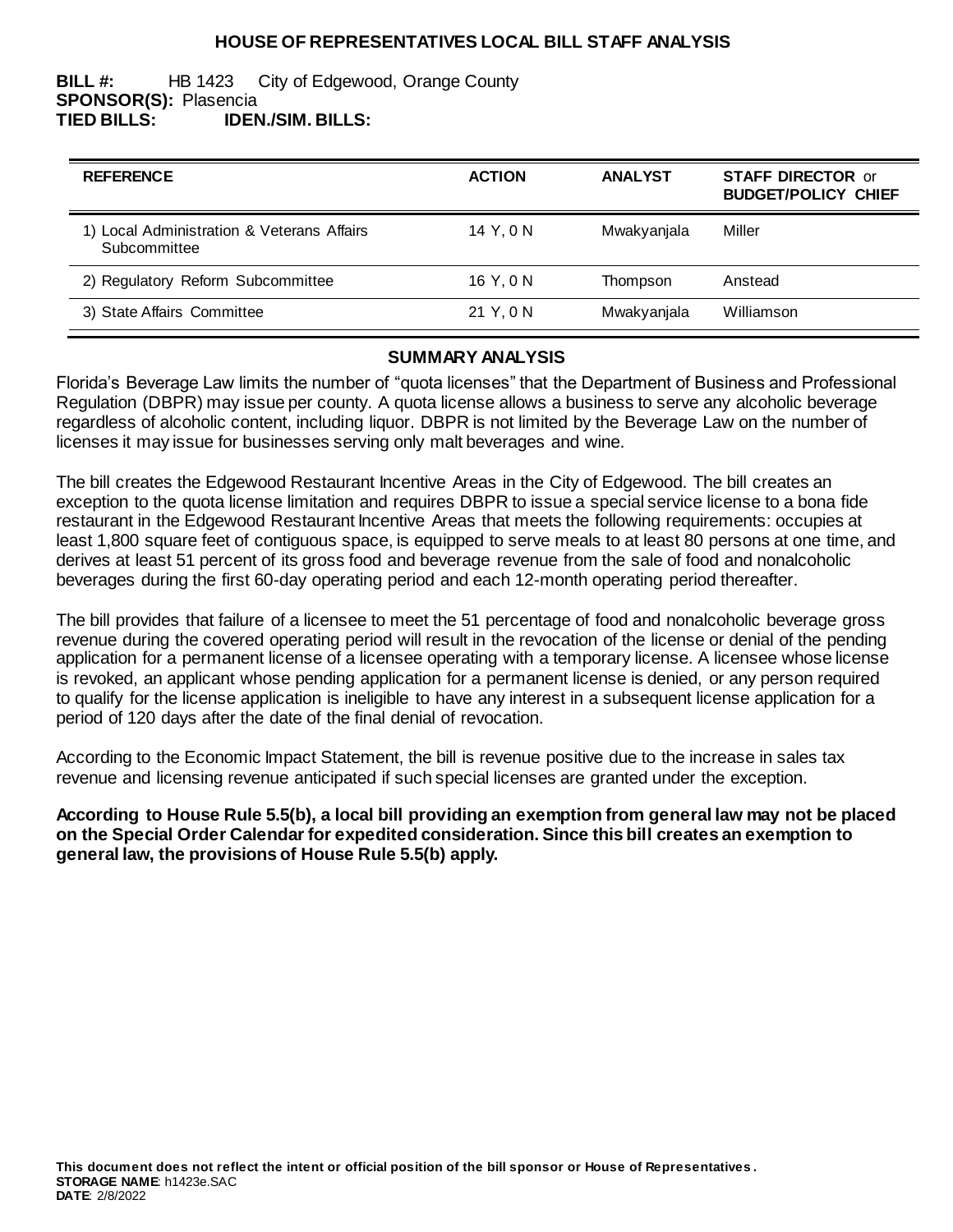# **HOUSE OF REPRESENTATIVES LOCAL BILL STAFF ANALYSIS**

#### **BILL #:** HB 1423 City of Edgewood, Orange County **SPONSOR(S):** Plasencia **TIED BILLS: IDEN./SIM. BILLS:**

| <b>REFERENCE</b>                                           | <b>ACTION</b> | <b>ANALYST</b> | <b>STAFF DIRECTOR or</b><br><b>BUDGET/POLICY CHIEF</b> |
|------------------------------------------------------------|---------------|----------------|--------------------------------------------------------|
| 1) Local Administration & Veterans Affairs<br>Subcommittee | 14 Y, 0 N     | Mwakyanjala    | Miller                                                 |
| 2) Regulatory Reform Subcommittee                          | 16 Y, 0 N     | Thompson       | Anstead                                                |
| 3) State Affairs Committee                                 | 21 Y, 0 N     | Mwakyanjala    | Williamson                                             |

### **SUMMARY ANALYSIS**

Florida's Beverage Law limits the number of "quota licenses" that the Department of Business and Professional Regulation (DBPR) may issue per county. A quota license allows a business to serve any alcoholic beverage regardless of alcoholic content, including liquor. DBPR is not limited by the Beverage Law on the number of licenses it may issue for businesses serving only malt beverages and wine.

The bill creates the Edgewood Restaurant Incentive Areas in the City of Edgewood. The bill creates an exception to the quota license limitation and requires DBPR to issue a special service license to a bona fide restaurant in the Edgewood Restaurant Incentive Areas that meets the following requirements: occupies at least 1,800 square feet of contiguous space, is equipped to serve meals to at least 80 persons at one time, and derives at least 51 percent of its gross food and beverage revenue from the sale of food and nonalcoholic beverages during the first 60-day operating period and each 12-month operating period thereafter.

The bill provides that failure of a licensee to meet the 51 percentage of food and nonalcoholic beverage gross revenue during the covered operating period will result in the revocation of the license or denial of the pending application for a permanent license of a licensee operating with a temporary license. A licensee whose license is revoked, an applicant whose pending application for a permanent license is denied, or any person required to qualify for the license application is ineligible to have any interest in a subsequent license application for a period of 120 days after the date of the final denial of revocation.

According to the Economic Impact Statement, the bill is revenue positive due to the increase in sales tax revenue and licensing revenue anticipated if such special licenses are granted under the exception.

**According to House Rule 5.5(b), a local bill providing an exemption from general law may not be placed on the Special Order Calendar for expedited consideration. Since this bill creates an exemption to general law, the provisions of House Rule 5.5(b) apply.**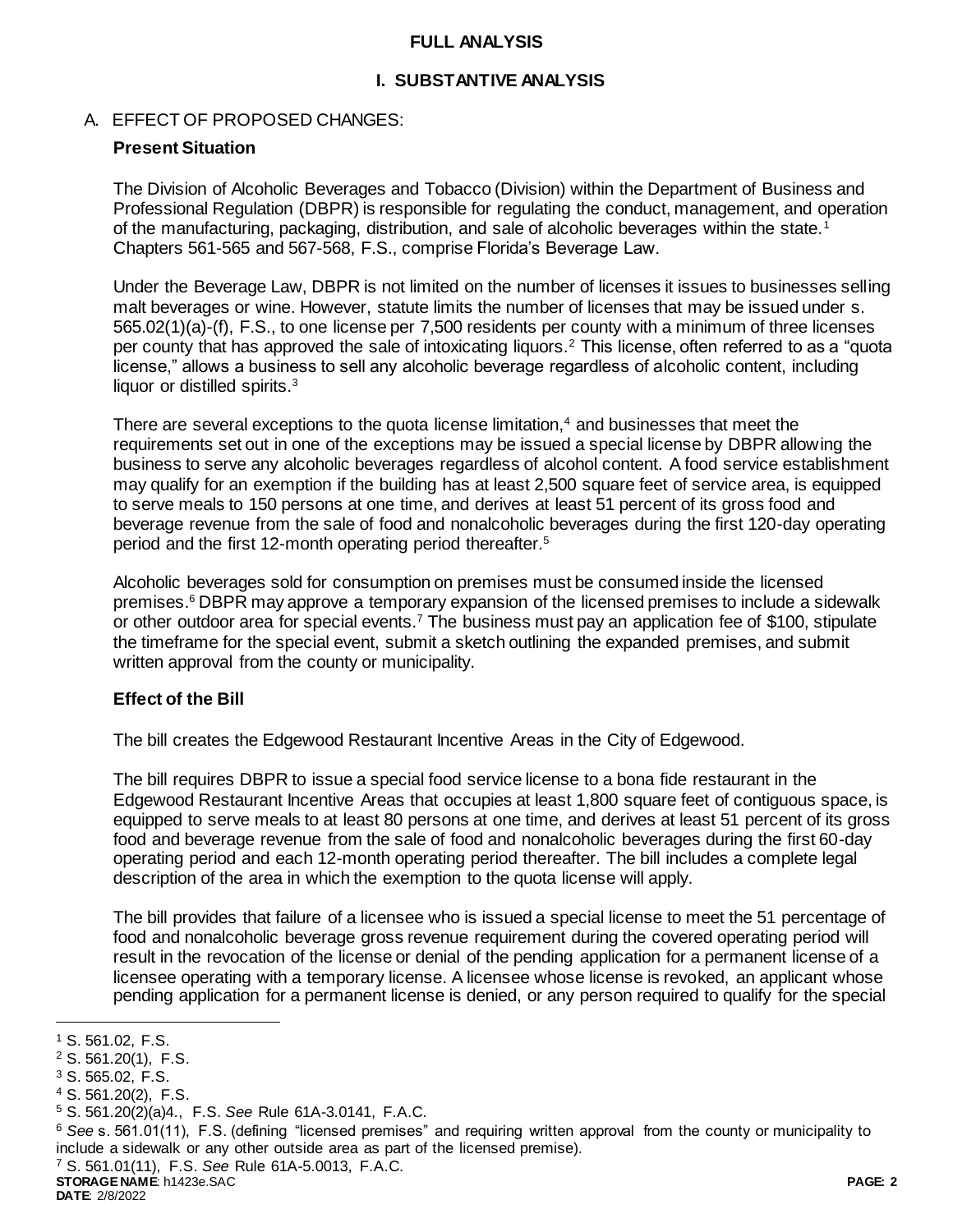# **FULL ANALYSIS**

# **I. SUBSTANTIVE ANALYSIS**

# A. EFFECT OF PROPOSED CHANGES:

# **Present Situation**

The Division of Alcoholic Beverages and Tobacco (Division) within the Department of Business and Professional Regulation (DBPR) is responsible for regulating the conduct, management, and operation of the manufacturing, packaging, distribution, and sale of alcoholic beverages within the state.<sup>1</sup> Chapters 561-565 and 567-568, F.S., comprise Florida's Beverage Law.

Under the Beverage Law, DBPR is not limited on the number of licenses it issues to businesses selling malt beverages or wine. However, statute limits the number of licenses that may be issued under s. 565.02(1)(a)-(f), F.S., to one license per 7,500 residents per county with a minimum of three licenses per county that has approved the sale of intoxicating liquors.<sup>2</sup> This license, often referred to as a "quota license," allows a business to sell any alcoholic beverage regardless of alcoholic content, including liquor or distilled spirits.<sup>3</sup>

There are several exceptions to the quota license limitation, $4$  and businesses that meet the requirements set out in one of the exceptions may be issued a special license by DBPR allowing the business to serve any alcoholic beverages regardless of alcohol content. A food service establishment may qualify for an exemption if the building has at least 2,500 square feet of service area, is equipped to serve meals to 150 persons at one time, and derives at least 51 percent of its gross food and beverage revenue from the sale of food and nonalcoholic beverages during the first 120-day operating period and the first 12-month operating period thereafter.<sup>5</sup>

Alcoholic beverages sold for consumption on premises must be consumed inside the licensed premises.<sup>6</sup> DBPR may approve a temporary expansion of the licensed premises to include a sidewalk or other outdoor area for special events.<sup>7</sup> The business must pay an application fee of \$100, stipulate the timeframe for the special event, submit a sketch outlining the expanded premises, and submit written approval from the county or municipality.

# **Effect of the Bill**

The bill creates the Edgewood Restaurant Incentive Areas in the City of Edgewood.

The bill requires DBPR to issue a special food service license to a bona fide restaurant in the Edgewood Restaurant Incentive Areas that occupies at least 1,800 square feet of contiguous space, is equipped to serve meals to at least 80 persons at one time, and derives at least 51 percent of its gross food and beverage revenue from the sale of food and nonalcoholic beverages during the first 60-day operating period and each 12-month operating period thereafter. The bill includes a complete legal description of the area in which the exemption to the quota license will apply.

The bill provides that failure of a licensee who is issued a special license to meet the 51 percentage of food and nonalcoholic beverage gross revenue requirement during the covered operating period will result in the revocation of the license or denial of the pending application for a permanent license of a licensee operating with a temporary license. A licensee whose license is revoked, an applicant whose pending application for a permanent license is denied, or any person required to qualify for the special

l

- <sup>5</sup> S. 561.20(2)(a)4., F.S. *See* Rule 61A-3.0141, F.A.C.
- <sup>6</sup> *See* s. 561.01(11), F.S. (defining "licensed premises" and requiring written approval from the county or municipality to include a sidewalk or any other outside area as part of the licensed premise).

<sup>7</sup> S. 561.01(11), F.S. *See* Rule 61A-5.0013, F.A.C.

**STORAGE NAME**: h1423e.SAC **PAGE: 2**

<sup>1</sup> S. 561.02, F.S.

<sup>2</sup> S. 561.20(1), F.S.

<sup>3</sup> S. 565.02, F.S.

<sup>4</sup> S. 561.20(2), F.S.